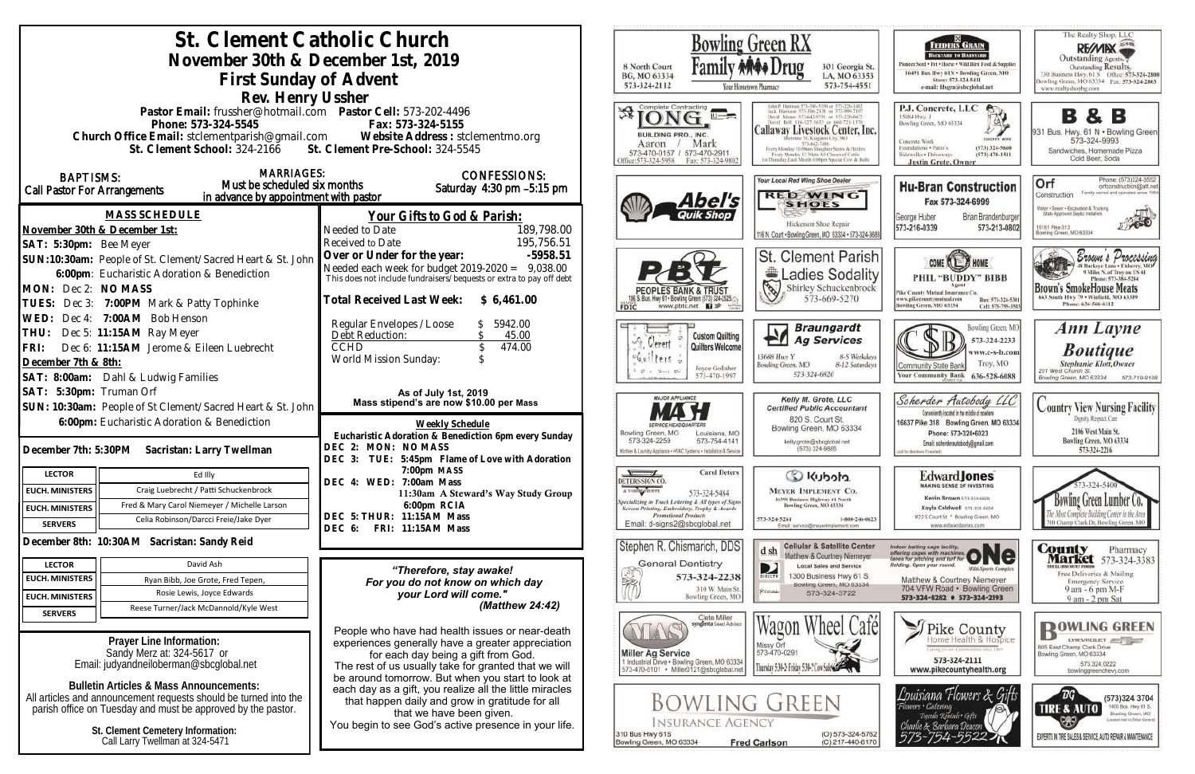| St. Clement Catholic Church                                                                                                                       |                                                                                                              | <b>Bowling Green RX</b>                                                                                                                                                |
|---------------------------------------------------------------------------------------------------------------------------------------------------|--------------------------------------------------------------------------------------------------------------|------------------------------------------------------------------------------------------------------------------------------------------------------------------------|
| November 30th & December 1st, 2019                                                                                                                |                                                                                                              |                                                                                                                                                                        |
|                                                                                                                                                   |                                                                                                              | 8 North Court<br>301 Georgia<br>BG, MO 63334<br>LA, MO 633                                                                                                             |
| First Sunday of Advent                                                                                                                            |                                                                                                              | 573-754-45<br>573-324-2112<br>Your Hometown Pharmacy                                                                                                                   |
| Rev. Henry Ussher                                                                                                                                 |                                                                                                              |                                                                                                                                                                        |
| Pastor Email: frussher@hotmail.com    Pastor Cell: 573-202-4496                                                                                   |                                                                                                              | 进.<br>$\cup \rightarrow \infty$                                                                                                                                        |
| Phone: 573-324-5545                                                                                                                               | Fax: 573-324-5155                                                                                            | <b>Callaway Livestock Center, I</b><br>BUILDING PRO., INC.                                                                                                             |
| Church Office Email: stclementparish@gmail.com Website Address : stclementmo.org<br>St. Clement School: 324-2166 St. Clement Pre-School: 324-5545 |                                                                                                              | Mark<br>Aaron                                                                                                                                                          |
|                                                                                                                                                   |                                                                                                              | 573-470-0157 / 573-470-2911<br>Every Monday 12:30pts All Classes of Cattle<br>Fax: 573-324-9802<br>Thursday Each Month 6:00pm Special Cow & Bu<br>Office: 573-324-5958 |
| <b>MARRIAGES:</b><br><b>BAPTISMS:</b>                                                                                                             | <b>CONFESSIONS:</b>                                                                                          | <b>Your Local Red Wing Shoe Dealer</b>                                                                                                                                 |
| Must be scheduled six months<br>Call Pastor For Arrangements                                                                                      | Saturday 4:30 pm -5:15 pm                                                                                    | <b>RED WING</b>                                                                                                                                                        |
| in advance by appointment with pastor                                                                                                             |                                                                                                              | Abel's<br><b>SHOES</b>                                                                                                                                                 |
| <b>MASS SCHEDULE</b>                                                                                                                              | <u>Your Gifts to God &amp; Parish:</u>                                                                       | Quik Shop<br>Hickerson Shoe Repair                                                                                                                                     |
| November 30th & December 1st:                                                                                                                     | 189,798.00<br>Needed to Date                                                                                 | 116 N. Court . Bowling Green, MO 63334 . 573-32                                                                                                                        |
| SAT: 5:30pm: Bee Meyer                                                                                                                            | 195,756.51<br>Received to Date                                                                               |                                                                                                                                                                        |
| SUN:10:30am: People of St. Clement/Sacred Heart & St. John                                                                                        | Over or Under for the year:<br>$-5958.51$<br>Needed each week for budget $2019-2020 = 9,038.00$              | St. Clement Pari                                                                                                                                                       |
| 6:00pm: Eucharistic Adoration & Benediction                                                                                                       | This does not include fundraisers/bequests or extra to pay off debt                                          | <b>Ladies Sodal</b>                                                                                                                                                    |
| MON: Dec 2: NO MASS                                                                                                                               |                                                                                                              | 3<br>Shirley Schuckenbro<br>573-669-5270                                                                                                                               |
| TUES: Dec 3: 7:00PM Mark & Patty Tophinke                                                                                                         | Total Received Last Week: \$6,461.00                                                                         | www.pbtc.net <b>H</b><br>FDIC                                                                                                                                          |
| WED: Dec 4: 7:00AM Bob Henson                                                                                                                     | Regular Envelopes / Loose<br>5942.00                                                                         | <b>Braungardt</b>                                                                                                                                                      |
| Dec 5: 11:15AM Ray Meyer<br>THU:                                                                                                                  | Debt Reduction:<br>45.00                                                                                     | <b>Custom Quilting</b><br><b>Ag Services</b><br>학<br>. Gerent                                                                                                          |
| Dec 6: 11:15AM Jerome & Eileen Luebrecht<br>FRI:                                                                                                  | <b>CCHD</b><br>474.00                                                                                        | Quilters Welcome<br>oGuilters :<br>13688 Huy Y<br>8-5 Week                                                                                                             |
| December 7th & 8th:                                                                                                                               | World Mission Sunday:                                                                                        | Bowling Green, MO<br>8-12 Satur<br>Joyce Gollaher<br>$27 - 12 - 12 - 12$<br>573-324-6820                                                                               |
| SAT: 8:00am: Dahl & Ludwig Families                                                                                                               |                                                                                                              | 573-470-1997                                                                                                                                                           |
| SAT: 5:30pm: Truman Orf                                                                                                                           | As of July 1st, 2019<br>Mass stipend's are now \$10.00 per Mass                                              | <b>MAJOR APPLIANCE</b><br>Kelly M. Grote, LLC                                                                                                                          |
| SUN: 10:30am: People of St Clement/Sacred Heart & St. John                                                                                        |                                                                                                              | <b>Certified Public Accountan</b><br>820 S. Court St.                                                                                                                  |
| 6:00pm: Eucharistic Adoration & Benediction                                                                                                       | Weekly Schedule                                                                                              | Bowling Green, MO 63334<br>Bowling Green, MO<br>Louisiana, MO                                                                                                          |
|                                                                                                                                                   | Eucharistic Adoration & Benediction 6pm every Sunday<br>DEC 2: MON: NOMASS                                   | 573-324-2259<br>573-754-4141<br>kelly.grote@sbcglobal.net<br>(573) 324-9885                                                                                            |
| December 7th: 5:30PM Sacristan: Larry Twellman                                                                                                    | DEC 3: TUE: 5:45pm Flame of Love with Adoration                                                              | Kitchen & Laundry Appliance - HVAC Systems - Installation & Service                                                                                                    |
| <b>LECTOR</b><br>Ed Illy                                                                                                                          | 7:00pm MASS                                                                                                  | <b>Carol Deters</b><br>Co Kubota                                                                                                                                       |
| Craig Luebrecht / Patti Schuckenbrock<br><b>EUCH. MINISTERS</b>                                                                                   | DEC 4: WED: 7:00am Mass<br>11:30am A Steward's Way Study Group                                               | DETERS SIGN CO.<br>A T-SHIRT SHOPPE<br><b>MEYER IMPLEMENT CO.</b><br>573-324-5484                                                                                      |
| Fred & Mary Carol Niemeyer / Michelle Larson<br><b>EUCH. MINISTERS</b>                                                                            | 6:00pm RCIA                                                                                                  | 16398 Business Highway 61 North<br>Specializing in Truck Lettering & All types of Signs<br>- Screen Printing, Embroidery, Trophy & Awards<br>Bowling Green, MO 63334   |
| Celia Robinson/Darcci Freie/Jake Dyer<br><b>SERVERS</b>                                                                                           | DEC 5: THUR: 11:15AM Mass                                                                                    | <b>Promotional Products</b><br>1-800-246<br>573-324-5261<br>Email: d-signs2@sbcglobal.net                                                                              |
|                                                                                                                                                   | FRI: 11:15AM Mass<br>DEC 6:                                                                                  | Email: service@msyerimplement.com                                                                                                                                      |
| December 8th: 10:30AM Sacristan: Sandy Reid                                                                                                       |                                                                                                              | Stephen R. Chismarich, DDS<br>Cellular & Satellite Cer<br>d sh<br>Matthew & Courtney Niemer                                                                            |
| David Ash<br><b>LECTOR</b>                                                                                                                        |                                                                                                              | <b>General Dentistry</b><br>D<br><b>Local Sales and Service</b>                                                                                                        |
| <b>EUCH. MINISTERS</b><br>Ryan Bibb, Joe Grote, Fred Tepen,                                                                                       | "Therefore, stay awake!<br>For you do not know on which day                                                  | X<br>573-324-2238<br>1300 Business Hwy 61<br>BIRECTY<br>Bowling Green, MO 6332                                                                                         |
| Rosie Lewis, Joyce Edwards<br><b>EUCH. MINISTERS</b>                                                                                              | your Lord will come."                                                                                        | 310 W. Main St.<br>Риховы<br>573-324-3722<br>Bowling Green, MO                                                                                                         |
| Reese Turner/Jack McDannold/Kyle West<br><b>SERVERS</b>                                                                                           | (Matthew 24:42)                                                                                              |                                                                                                                                                                        |
|                                                                                                                                                   |                                                                                                              | Clete Miller<br>syngenta Seed Adviso                                                                                                                                   |
| Prayer Line Information:                                                                                                                          | People who have had health issues or near-death<br>experiences generally have a greater appreciation         | Missy Orf                                                                                                                                                              |
| Sandy Merz at: 324-5617 or                                                                                                                        | for each day being a gift from God.                                                                          | 573-470-0291<br><b>Miller Ag Service</b>                                                                                                                               |
| Email: judyandneiloberman@sbcglobal.net                                                                                                           | The rest of us usually take for granted that we will                                                         | 1 Industrial Drive . Bowling Green, MO 63334<br>Thursday 5:30-2: Friday 5:30-7 Cow.<br>573-470-0101 · Miller0121@sbcglobal.net                                         |
| <b>Bulletin Articles &amp; Mass Announcements:</b>                                                                                                | be around tomorrow. But when you start to look at<br>each day as a gift, you realize all the little miracles |                                                                                                                                                                        |
| All articles and announcement requests should be turned into the                                                                                  | that happen daily and grow in gratitude for all                                                              | <b>BOWLING GREEN</b>                                                                                                                                                   |
| parish office on Tuesday and must be approved by the pastor.                                                                                      | that we have been given.                                                                                     |                                                                                                                                                                        |
| St. Clement Cemetery Information:                                                                                                                 | You begin to see God's active presence in your life.                                                         | <b>INSURANCE AGENCY</b><br>310 Bus Hwy 61S<br>(O) 573-324-5                                                                                                            |
| Call Larry Twellman at 324-5471                                                                                                                   |                                                                                                              | Bowling Green, MO 63334<br><b>Fred Carlson</b><br>(C) 217-440-6                                                                                                        |
|                                                                                                                                                   |                                                                                                              |                                                                                                                                                                        |